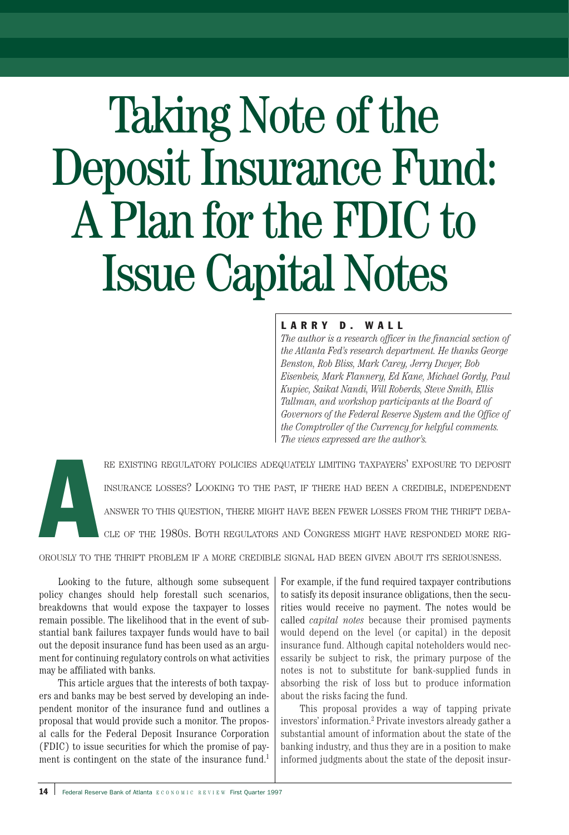# Taking Note of the Deposit Insurance Fund: A Plan for the FDIC to Issue Capital Notes

# LARRY D. WALL

*The author is a research officer in the financial section of the Atlanta Fed's research department. He thanks George Benston, Rob Bliss, Mark Carey, Jerry Dwyer, Bob Eisenbeis, Mark Flannery, Ed Kane, Michael Gordy, Paul Kupiec, Saikat Nandi, Will Roberds, Steve Smith, Ellis Tallman, and workshop participants at the Board of Governors of the Federal Reserve System and the Office of the Comptroller of the Currency for helpful comments. The views expressed are the author's.*



RE EXISTING REGULATORY POLICIES ADEQUATELY LIMITING TAXPAYERS' EXPOSURE TO DEPOSIT INSURANCE LOSSES? LOOKING TO THE PAST, IF THERE HAD BEEN A CREDIBLE, INDEPENDENT ANSWER TO THIS QUESTION, THERE MIGHT HAVE BEEN FEWER LOSSES FROM THE THRIFT DEBA-CLE OF THE 1980S. BOTH REGULATORS AND CONGRESS MIGHT HAVE RESPONDED MORE RIG-

OROUSLY TO THE THRIFT PROBLEM IF A MORE CREDIBLE SIGNAL HAD BEEN GIVEN ABOUT ITS SERIOUSNESS.

Looking to the future, although some subsequent policy changes should help forestall such scenarios, breakdowns that would expose the taxpayer to losses remain possible. The likelihood that in the event of substantial bank failures taxpayer funds would have to bail out the deposit insurance fund has been used as an argument for continuing regulatory controls on what activities may be affiliated with banks.

This article argues that the interests of both taxpayers and banks may be best served by developing an independent monitor of the insurance fund and outlines a proposal that would provide such a monitor. The proposal calls for the Federal Deposit Insurance Corporation (FDIC) to issue securities for which the promise of payment is contingent on the state of the insurance fund.<sup>1</sup>

For example, if the fund required taxpayer contributions to satisfy its deposit insurance obligations, then the securities would receive no payment. The notes would be called *capital notes* because their promised payments would depend on the level (or capital) in the deposit insurance fund. Although capital noteholders would necessarily be subject to risk, the primary purpose of the notes is not to substitute for bank-supplied funds in absorbing the risk of loss but to produce information about the risks facing the fund.

This proposal provides a way of tapping private investors' information.2 Private investors already gather a substantial amount of information about the state of the banking industry, and thus they are in a position to make informed judgments about the state of the deposit insur-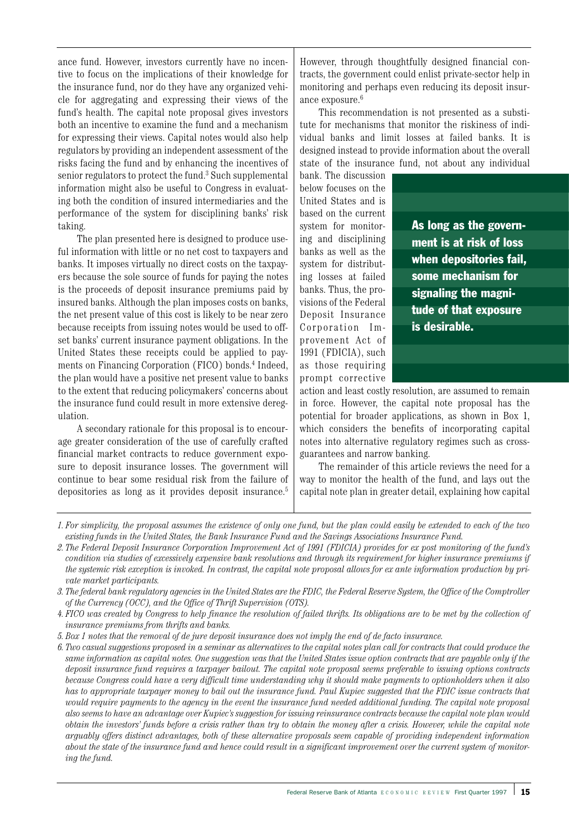ance fund. However, investors currently have no incentive to focus on the implications of their knowledge for the insurance fund, nor do they have any organized vehicle for aggregating and expressing their views of the fund's health. The capital note proposal gives investors both an incentive to examine the fund and a mechanism for expressing their views. Capital notes would also help regulators by providing an independent assessment of the risks facing the fund and by enhancing the incentives of senior regulators to protect the fund.<sup>3</sup> Such supplemental information might also be useful to Congress in evaluating both the condition of insured intermediaries and the performance of the system for disciplining banks' risk taking.

The plan presented here is designed to produce useful information with little or no net cost to taxpayers and banks. It imposes virtually no direct costs on the taxpayers because the sole source of funds for paying the notes is the proceeds of deposit insurance premiums paid by insured banks. Although the plan imposes costs on banks, the net present value of this cost is likely to be near zero because receipts from issuing notes would be used to offset banks' current insurance payment obligations. In the United States these receipts could be applied to payments on Financing Corporation (FICO) bonds.<sup>4</sup> Indeed, the plan would have a positive net present value to banks to the extent that reducing policymakers' concerns about the insurance fund could result in more extensive deregulation.

A secondary rationale for this proposal is to encourage greater consideration of the use of carefully crafted financial market contracts to reduce government exposure to deposit insurance losses. The government will continue to bear some residual risk from the failure of depositories as long as it provides deposit insurance.<sup>5</sup>

However, through thoughtfully designed financial contracts, the government could enlist private-sector help in monitoring and perhaps even reducing its deposit insurance exposure.<sup>6</sup>

This recommendation is not presented as a substitute for mechanisms that monitor the riskiness of individual banks and limit losses at failed banks. It is designed instead to provide information about the overall state of the insurance fund, not about any individual

bank. The discussion below focuses on the United States and is based on the current system for monitoring and disciplining banks as well as the system for distributing losses at failed banks. Thus, the provisions of the Federal Deposit Insurance Corporation Improvement Act of 1991 (FDICIA), such as those requiring prompt corrective

As long as the government is at risk of loss when depositories fail, some mechanism for signaling the magnitude of that exposure is desirable.

action and least costly resolution, are assumed to remain in force. However, the capital note proposal has the potential for broader applications, as shown in Box 1, which considers the benefits of incorporating capital notes into alternative regulatory regimes such as crossguarantees and narrow banking.

The remainder of this article reviews the need for a way to monitor the health of the fund, and lays out the capital note plan in greater detail, explaining how capital

*2. The Federal Deposit Insurance Corporation Improvement Act of 1991 (FDICIA) provides for ex post monitoring of the fund's condition via studies of excessively expensive bank resolutions and through its requirement for higher insurance premiums if the systemic risk exception is invoked. In contrast, the capital note proposal allows for ex ante information production by private market participants.*

*5. Box 1 notes that the removal of de jure deposit insurance does not imply the end of de facto insurance.*

*6. Two casual suggestions proposed in a seminar as alternatives to the capital notes plan call for contracts that could produce the same information as capital notes. One suggestion was that the United States issue option contracts that are payable only if the deposit insurance fund requires a taxpayer bailout. The capital note proposal seems preferable to issuing options contracts because Congress could have a very difficult time understanding why it should make payments to optionholders when it also has to appropriate taxpayer money to bail out the insurance fund. Paul Kupiec suggested that the FDIC issue contracts that would require payments to the agency in the event the insurance fund needed additional funding. The capital note proposal also seems to have an advantage over Kupiec's suggestion for issuing reinsurance contracts because the capital note plan would obtain the investors' funds before a crisis rather than try to obtain the money after a crisis. However, while the capital note arguably offers distinct advantages, both of these alternative proposals seem capable of providing independent information about the state of the insurance fund and hence could result in a significant improvement over the current system of monitoring the fund.*

*<sup>1.</sup> For simplicity, the proposal assumes the existence of only one fund, but the plan could easily be extended to each of the two existing funds in the United States, the Bank Insurance Fund and the Savings Associations Insurance Fund.*

*<sup>3.</sup> The federal bank regulatory agencies in the United States are the FDIC, the Federal Reserve System, the Office of the Comptroller of the Currency (OCC), and the Office of Thrift Supervision (OTS).*

*<sup>4.</sup> FICO was created by Congress to help finance the resolution of failed thrifts. Its obligations are to be met by the collection of insurance premiums from thrifts and banks.*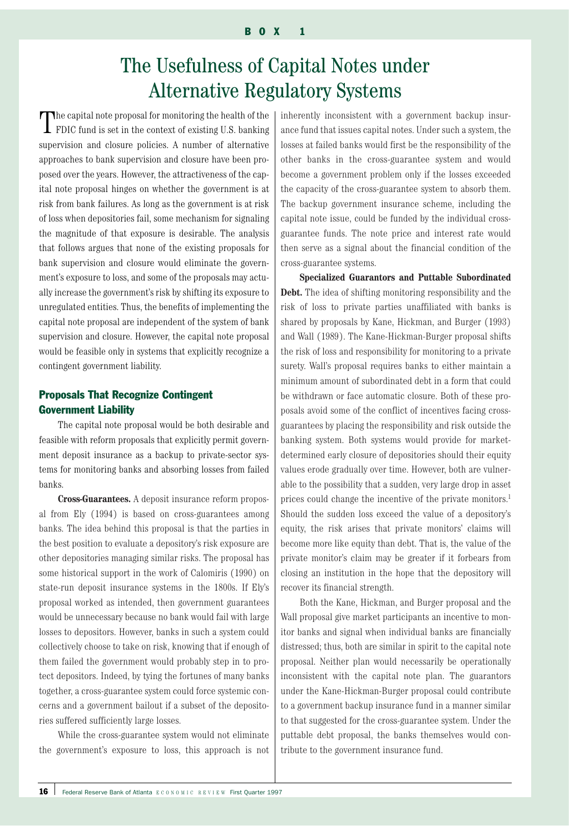# The Usefulness of Capital Notes under Alternative Regulatory Systems

The capital note proposal for monitoring the health of the **I** FDIC fund is set in the context of existing U.S. banking supervision and closure policies. A number of alternative approaches to bank supervision and closure have been proposed over the years. However, the attractiveness of the capital note proposal hinges on whether the government is at risk from bank failures. As long as the government is at risk of loss when depositories fail, some mechanism for signaling the magnitude of that exposure is desirable. The analysis that follows argues that none of the existing proposals for bank supervision and closure would eliminate the government's exposure to loss, and some of the proposals may actually increase the government's risk by shifting its exposure to unregulated entities. Thus, the benefits of implementing the capital note proposal are independent of the system of bank supervision and closure. However, the capital note proposal would be feasible only in systems that explicitly recognize a contingent government liability.

# Proposals That Recognize Contingent Government Liability

The capital note proposal would be both desirable and feasible with reform proposals that explicitly permit government deposit insurance as a backup to private-sector systems for monitoring banks and absorbing losses from failed banks.

**Cross-Guarantees.** A deposit insurance reform proposal from Ely (1994) is based on cross-guarantees among banks. The idea behind this proposal is that the parties in the best position to evaluate a depository's risk exposure are other depositories managing similar risks. The proposal has some historical support in the work of Calomiris (1990) on state-run deposit insurance systems in the 1800s. If Ely's proposal worked as intended, then government guarantees would be unnecessary because no bank would fail with large losses to depositors. However, banks in such a system could collectively choose to take on risk, knowing that if enough of them failed the government would probably step in to protect depositors. Indeed, by tying the fortunes of many banks together, a cross-guarantee system could force systemic concerns and a government bailout if a subset of the depositories suffered sufficiently large losses.

While the cross-guarantee system would not eliminate the government's exposure to loss, this approach is not inherently inconsistent with a government backup insurance fund that issues capital notes. Under such a system, the losses at failed banks would first be the responsibility of the other banks in the cross-guarantee system and would become a government problem only if the losses exceeded the capacity of the cross-guarantee system to absorb them. The backup government insurance scheme, including the capital note issue, could be funded by the individual crossguarantee funds. The note price and interest rate would then serve as a signal about the financial condition of the cross-guarantee systems.

**Specialized Guarantors and Puttable Subordinated Debt.** The idea of shifting monitoring responsibility and the risk of loss to private parties unaffiliated with banks is shared by proposals by Kane, Hickman, and Burger (1993) and Wall (1989). The Kane-Hickman-Burger proposal shifts the risk of loss and responsibility for monitoring to a private surety. Wall's proposal requires banks to either maintain a minimum amount of subordinated debt in a form that could be withdrawn or face automatic closure. Both of these proposals avoid some of the conflict of incentives facing crossguarantees by placing the responsibility and risk outside the banking system. Both systems would provide for marketdetermined early closure of depositories should their equity values erode gradually over time. However, both are vulnerable to the possibility that a sudden, very large drop in asset prices could change the incentive of the private monitors.<sup>1</sup> Should the sudden loss exceed the value of a depository's equity, the risk arises that private monitors' claims will become more like equity than debt. That is, the value of the private monitor's claim may be greater if it forbears from closing an institution in the hope that the depository will recover its financial strength.

Both the Kane, Hickman, and Burger proposal and the Wall proposal give market participants an incentive to monitor banks and signal when individual banks are financially distressed; thus, both are similar in spirit to the capital note proposal. Neither plan would necessarily be operationally inconsistent with the capital note plan. The guarantors under the Kane-Hickman-Burger proposal could contribute to a government backup insurance fund in a manner similar to that suggested for the cross-guarantee system. Under the puttable debt proposal, the banks themselves would contribute to the government insurance fund.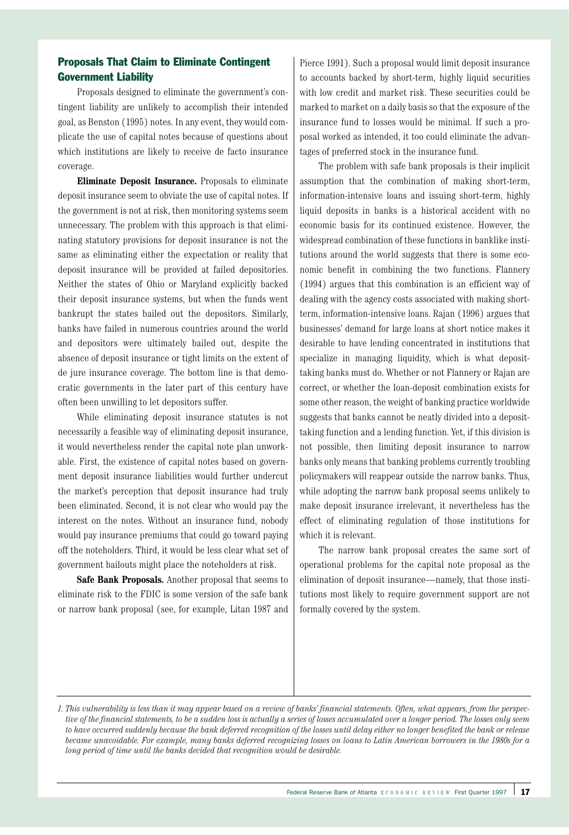# Proposals That Claim to Eliminate Contingent Government Liability

Proposals designed to eliminate the government's contingent liability are unlikely to accomplish their intended goal, as Benston (1995) notes. In any event, they would complicate the use of capital notes because of questions about which institutions are likely to receive de facto insurance coverage.

**Eliminate Deposit Insurance.** Proposals to eliminate deposit insurance seem to obviate the use of capital notes. If the government is not at risk, then monitoring systems seem unnecessary. The problem with this approach is that eliminating statutory provisions for deposit insurance is not the same as eliminating either the expectation or reality that deposit insurance will be provided at failed depositories. Neither the states of Ohio or Maryland explicitly backed their deposit insurance systems, but when the funds went bankrupt the states bailed out the depositors. Similarly, banks have failed in numerous countries around the world and depositors were ultimately bailed out, despite the absence of deposit insurance or tight limits on the extent of de jure insurance coverage. The bottom line is that democratic governments in the later part of this century have often been unwilling to let depositors suffer.

While eliminating deposit insurance statutes is not necessarily a feasible way of eliminating deposit insurance, it would nevertheless render the capital note plan unworkable. First, the existence of capital notes based on government deposit insurance liabilities would further undercut the market's perception that deposit insurance had truly been eliminated. Second, it is not clear who would pay the interest on the notes. Without an insurance fund, nobody would pay insurance premiums that could go toward paying off the noteholders. Third, it would be less clear what set of government bailouts might place the noteholders at risk.

**Safe Bank Proposals.** Another proposal that seems to eliminate risk to the FDIC is some version of the safe bank or narrow bank proposal (see, for example, Litan 1987 and Pierce 1991). Such a proposal would limit deposit insurance to accounts backed by short-term, highly liquid securities with low credit and market risk. These securities could be marked to market on a daily basis so that the exposure of the insurance fund to losses would be minimal. If such a proposal worked as intended, it too could eliminate the advantages of preferred stock in the insurance fund.

The problem with safe bank proposals is their implicit assumption that the combination of making short-term, information-intensive loans and issuing short-term, highly liquid deposits in banks is a historical accident with no economic basis for its continued existence. However, the widespread combination of these functions in banklike institutions around the world suggests that there is some economic benefit in combining the two functions. Flannery (1994) argues that this combination is an efficient way of dealing with the agency costs associated with making shortterm, information-intensive loans. Rajan (1996) argues that businesses' demand for large loans at short notice makes it desirable to have lending concentrated in institutions that specialize in managing liquidity, which is what deposittaking banks must do. Whether or not Flannery or Rajan are correct, or whether the loan-deposit combination exists for some other reason, the weight of banking practice worldwide suggests that banks cannot be neatly divided into a deposittaking function and a lending function. Yet, if this division is not possible, then limiting deposit insurance to narrow banks only means that banking problems currently troubling policymakers will reappear outside the narrow banks. Thus, while adopting the narrow bank proposal seems unlikely to make deposit insurance irrelevant, it nevertheless has the effect of eliminating regulation of those institutions for which it is relevant.

The narrow bank proposal creates the same sort of operational problems for the capital note proposal as the elimination of deposit insurance—namely, that those institutions most likely to require government support are not formally covered by the system.

*<sup>1.</sup> This vulnerability is less than it may appear based on a review of banks' financial statements. Often, what appears, from the perspective of the financial statements, to be a sudden loss is actually a series of losses accumulated over a longer period. The losses only seem to have occurred suddenly because the bank deferred recognition of the losses until delay either no longer benefited the bank or release became unavoidable. For example, many banks deferred recognizing losses on loans to Latin American borrowers in the 1980s for a long period of time until the banks decided that recognition would be desirable.*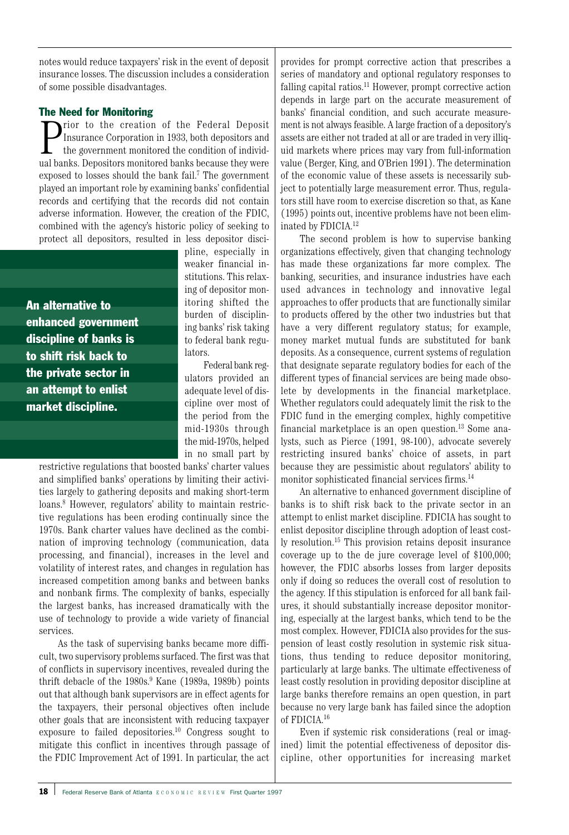notes would reduce taxpayers' risk in the event of deposit insurance losses. The discussion includes a consideration of some possible disadvantages.

# The Need for Monitoring

**P** Insurance Corporation of the Federal Deposit Insurance Corporation in 1933, both depositors and the government monitored the condition of individual banks. Depositors monitored banks because they were rior to the creation of the Federal Deposit Insurance Corporation in 1933, both depositors and the government monitored the condition of individexposed to losses should the bank fail.<sup>7</sup> The government played an important role by examining banks' confidential records and certifying that the records did not contain adverse information. However, the creation of the FDIC, combined with the agency's historic policy of seeking to protect all depositors, resulted in less depositor disci-

An alternative to enhanced government discipline of banks is to shift risk back to the private sector in an attempt to enlist market discipline.

pline, especially in weaker financial institutions. This relaxing of depositor monitoring shifted the burden of disciplining banks' risk taking to federal bank regulators.

Federal bank regulators provided an adequate level of discipline over most of the period from the mid-1930s through the mid-1970s, helped in no small part by

restrictive regulations that boosted banks' charter values and simplified banks' operations by limiting their activities largely to gathering deposits and making short-term loans.<sup>8</sup> However, regulators' ability to maintain restrictive regulations has been eroding continually since the 1970s. Bank charter values have declined as the combination of improving technology (communication, data processing, and financial), increases in the level and volatility of interest rates, and changes in regulation has increased competition among banks and between banks and nonbank firms. The complexity of banks, especially the largest banks, has increased dramatically with the use of technology to provide a wide variety of financial services.

As the task of supervising banks became more difficult, two supervisory problems surfaced. The first was that of conflicts in supervisory incentives, revealed during the thrift debacle of the  $1980s<sup>9</sup>$  Kane (1989a, 1989b) points out that although bank supervisors are in effect agents for the taxpayers, their personal objectives often include other goals that are inconsistent with reducing taxpayer exposure to failed depositories.10 Congress sought to mitigate this conflict in incentives through passage of the FDIC Improvement Act of 1991. In particular, the act

provides for prompt corrective action that prescribes a series of mandatory and optional regulatory responses to falling capital ratios.<sup>11</sup> However, prompt corrective action depends in large part on the accurate measurement of banks' financial condition, and such accurate measurement is not always feasible. A large fraction of a depository's assets are either not traded at all or are traded in very illiquid markets where prices may vary from full-information value (Berger, King, and O'Brien 1991). The determination of the economic value of these assets is necessarily subject to potentially large measurement error. Thus, regulators still have room to exercise discretion so that, as Kane (1995) points out, incentive problems have not been eliminated by FDICIA.12

The second problem is how to supervise banking organizations effectively, given that changing technology has made these organizations far more complex. The banking, securities, and insurance industries have each used advances in technology and innovative legal approaches to offer products that are functionally similar to products offered by the other two industries but that have a very different regulatory status; for example, money market mutual funds are substituted for bank deposits. As a consequence, current systems of regulation that designate separate regulatory bodies for each of the different types of financial services are being made obsolete by developments in the financial marketplace. Whether regulators could adequately limit the risk to the FDIC fund in the emerging complex, highly competitive financial marketplace is an open question.13 Some analysts, such as Pierce (1991, 98-100), advocate severely restricting insured banks' choice of assets, in part because they are pessimistic about regulators' ability to monitor sophisticated financial services firms.<sup>14</sup>

An alternative to enhanced government discipline of banks is to shift risk back to the private sector in an attempt to enlist market discipline. FDICIA has sought to enlist depositor discipline through adoption of least costly resolution.15 This provision retains deposit insurance coverage up to the de jure coverage level of \$100,000; however, the FDIC absorbs losses from larger deposits only if doing so reduces the overall cost of resolution to the agency. If this stipulation is enforced for all bank failures, it should substantially increase depositor monitoring, especially at the largest banks, which tend to be the most complex. However, FDICIA also provides for the suspension of least costly resolution in systemic risk situations, thus tending to reduce depositor monitoring, particularly at large banks. The ultimate effectiveness of least costly resolution in providing depositor discipline at large banks therefore remains an open question, in part because no very large bank has failed since the adoption of FDICIA.16

Even if systemic risk considerations (real or imagined) limit the potential effectiveness of depositor discipline, other opportunities for increasing market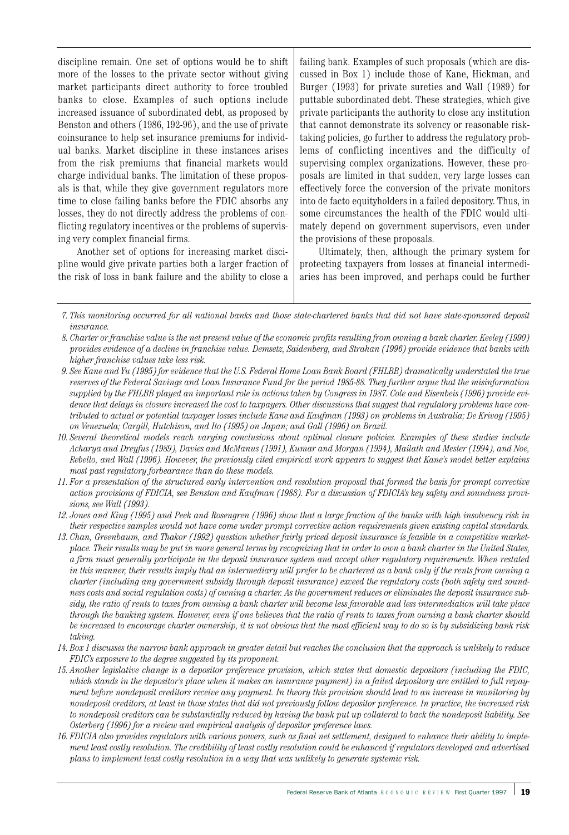discipline remain. One set of options would be to shift more of the losses to the private sector without giving market participants direct authority to force troubled banks to close. Examples of such options include increased issuance of subordinated debt, as proposed by Benston and others (1986, 192-96), and the use of private coinsurance to help set insurance premiums for individual banks. Market discipline in these instances arises from the risk premiums that financial markets would charge individual banks. The limitation of these proposals is that, while they give government regulators more time to close failing banks before the FDIC absorbs any losses, they do not directly address the problems of conflicting regulatory incentives or the problems of supervising very complex financial firms.

Another set of options for increasing market discipline would give private parties both a larger fraction of the risk of loss in bank failure and the ability to close a

failing bank. Examples of such proposals (which are discussed in Box 1) include those of Kane, Hickman, and Burger (1993) for private sureties and Wall (1989) for puttable subordinated debt. These strategies, which give private participants the authority to close any institution that cannot demonstrate its solvency or reasonable risktaking policies, go further to address the regulatory problems of conflicting incentives and the difficulty of supervising complex organizations. However, these proposals are limited in that sudden, very large losses can effectively force the conversion of the private monitors into de facto equityholders in a failed depository. Thus, in some circumstances the health of the FDIC would ultimately depend on government supervisors, even under the provisions of these proposals.

Ultimately, then, although the primary system for protecting taxpayers from losses at financial intermediaries has been improved, and perhaps could be further

- *9. See Kane and Yu (1995) for evidence that the U.S. Federal Home Loan Bank Board (FHLBB) dramatically understated the true reserves of the Federal Savings and Loan Insurance Fund for the period 1985-88. They further argue that the misinformation supplied by the FHLBB played an important role in actions taken by Congress in 1987. Cole and Eisenbeis (1996) provide evidence that delays in closure increased the cost to taxpayers. Other discussions that suggest that regulatory problems have contributed to actual or potential taxpayer losses include Kane and Kaufman (1993) on problems in Australia; De Krivoy (1995) on Venezuela; Cargill, Hutchison, and Ito (1995) on Japan; and Gall (1996) on Brazil.*
- *10. Several theoretical models reach varying conclusions about optimal closure policies. Examples of these studies include Acharya and Dreyfus (1989), Davies and McManus (1991), Kumar and Morgan (1994), Mailath and Mester (1994), and Noe, Rebello, and Wall (1996). However, the previously cited empirical work appears to suggest that Kane's model better explains most past regulatory forbearance than do these models.*
- *11. For a presentation of the structured early intervention and resolution proposal that formed the basis for prompt corrective action provisions of FDICIA, see Benston and Kaufman (1988). For a discussion of FDICIA's key safety and soundness provisions, see Wall (1993).*
- *12. Jones and King (1995) and Peek and Rosengren (1996) show that a large fraction of the banks with high insolvency risk in their respective samples would not have come under prompt corrective action requirements given existing capital standards.*
- *13. Chan, Greenbaum, and Thakor (1992) question whether fairly priced deposit insurance is feasible in a competitive marketplace. Their results may be put in more general terms by recognizing that in order to own a bank charter in the United States, a firm must generally participate in the deposit insurance system and accept other regulatory requirements. When restated in this manner, their results imply that an intermediary will prefer to be chartered as a bank only if the rents from owning a charter (including any government subsidy through deposit insurance) exceed the regulatory costs (both safety and soundness costs and social regulation costs) of owning a charter. As the government reduces or eliminates the deposit insurance subsidy, the ratio of rents to taxes from owning a bank charter will become less favorable and less intermediation will take place through the banking system. However, even if one believes that the ratio of rents to taxes from owning a bank charter should be increased to encourage charter ownership, it is not obvious that the most efficient way to do so is by subsidizing bank risk taking.*
- *14. Box 1 discusses the narrow bank approach in greater detail but reaches the conclusion that the approach is unlikely to reduce FDIC's exposure to the degree suggested by its proponent.*
- *15. Another legislative change is a depositor preference provision, which states that domestic depositors (including the FDIC, which stands in the depositor's place when it makes an insurance payment) in a failed depository are entitled to full repayment before nondeposit creditors receive any payment. In theory this provision should lead to an increase in monitoring by nondeposit creditors, at least in those states that did not previously follow depositor preference. In practice, the increased risk to nondeposit creditors can be substantially reduced by having the bank put up collateral to back the nondeposit liability. See Osterberg (1996) for a review and empirical analysis of depositor preference laws.*
- *16. FDICIA also provides regulators with various powers, such as final net settlement, designed to enhance their ability to implement least costly resolution. The credibility of least costly resolution could be enhanced if regulators developed and advertised plans to implement least costly resolution in a way that was unlikely to generate systemic risk.*

*<sup>7.</sup> This monitoring occurred for all national banks and those state-chartered banks that did not have state-sponsored deposit insurance.*

*<sup>8.</sup> Charter or franchise value is the net present value of the economic profits resulting from owning a bank charter. Keeley (1990) provides evidence of a decline in franchise value. Demsetz, Saidenberg, and Strahan (1996) provide evidence that banks with higher franchise values take less risk.*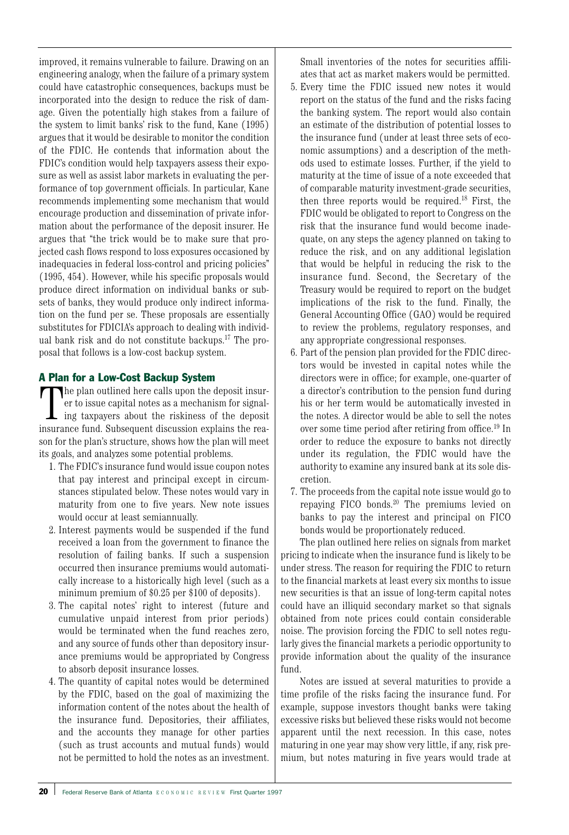improved, it remains vulnerable to failure. Drawing on an engineering analogy, when the failure of a primary system could have catastrophic consequences, backups must be incorporated into the design to reduce the risk of damage. Given the potentially high stakes from a failure of the system to limit banks' risk to the fund, Kane (1995) argues that it would be desirable to monitor the condition of the FDIC. He contends that information about the FDIC's condition would help taxpayers assess their exposure as well as assist labor markets in evaluating the performance of top government officials. In particular, Kane recommends implementing some mechanism that would encourage production and dissemination of private information about the performance of the deposit insurer. He argues that "the trick would be to make sure that projected cash flows respond to loss exposures occasioned by inadequacies in federal loss-control and pricing policies" (1995, 454). However, while his specific proposals would produce direct information on individual banks or subsets of banks, they would produce only indirect information on the fund per se. These proposals are essentially substitutes for FDICIA's approach to dealing with individual bank risk and do not constitute backups.17 The proposal that follows is a low-cost backup system.

# A Plan for a Low-Cost Backup System

The plan outlined here calls upon the deposit insur-<br>er to issue capital notes as a mechanism for signal-<br>ing taxpayers about the riskiness of the deposit<br>insurance fund. Subsequent discussion explains the reahe plan outlined here calls upon the deposit insurer to issue capital notes as a mechanism for signaling taxpayers about the riskiness of the deposit son for the plan's structure, shows how the plan will meet its goals, and analyzes some potential problems.

- 1. The FDIC's insurance fund would issue coupon notes that pay interest and principal except in circumstances stipulated below. These notes would vary in maturity from one to five years. New note issues would occur at least semiannually.
- 2. Interest payments would be suspended if the fund received a loan from the government to finance the resolution of failing banks. If such a suspension occurred then insurance premiums would automatically increase to a historically high level (such as a minimum premium of \$0.25 per \$100 of deposits).
- 3. The capital notes' right to interest (future and cumulative unpaid interest from prior periods) would be terminated when the fund reaches zero, and any source of funds other than depository insurance premiums would be appropriated by Congress to absorb deposit insurance losses.
- 4. The quantity of capital notes would be determined by the FDIC, based on the goal of maximizing the information content of the notes about the health of the insurance fund. Depositories, their affiliates, and the accounts they manage for other parties (such as trust accounts and mutual funds) would not be permitted to hold the notes as an investment.

Small inventories of the notes for securities affiliates that act as market makers would be permitted.

- 5. Every time the FDIC issued new notes it would report on the status of the fund and the risks facing the banking system. The report would also contain an estimate of the distribution of potential losses to the insurance fund (under at least three sets of economic assumptions) and a description of the methods used to estimate losses. Further, if the yield to maturity at the time of issue of a note exceeded that of comparable maturity investment-grade securities, then three reports would be required.18 First, the FDIC would be obligated to report to Congress on the risk that the insurance fund would become inadequate, on any steps the agency planned on taking to reduce the risk, and on any additional legislation that would be helpful in reducing the risk to the insurance fund. Second, the Secretary of the Treasury would be required to report on the budget implications of the risk to the fund. Finally, the General Accounting Office (GAO) would be required to review the problems, regulatory responses, and any appropriate congressional responses.
- 6. Part of the pension plan provided for the FDIC directors would be invested in capital notes while the directors were in office; for example, one-quarter of a director's contribution to the pension fund during his or her term would be automatically invested in the notes. A director would be able to sell the notes over some time period after retiring from office.19 In order to reduce the exposure to banks not directly under its regulation, the FDIC would have the authority to examine any insured bank at its sole discretion.
- 7. The proceeds from the capital note issue would go to repaying FICO bonds.20 The premiums levied on banks to pay the interest and principal on FICO bonds would be proportionately reduced.

The plan outlined here relies on signals from market pricing to indicate when the insurance fund is likely to be under stress. The reason for requiring the FDIC to return to the financial markets at least every six months to issue new securities is that an issue of long-term capital notes could have an illiquid secondary market so that signals obtained from note prices could contain considerable noise. The provision forcing the FDIC to sell notes regularly gives the financial markets a periodic opportunity to provide information about the quality of the insurance fund.

Notes are issued at several maturities to provide a time profile of the risks facing the insurance fund. For example, suppose investors thought banks were taking excessive risks but believed these risks would not become apparent until the next recession. In this case, notes maturing in one year may show very little, if any, risk premium, but notes maturing in five years would trade at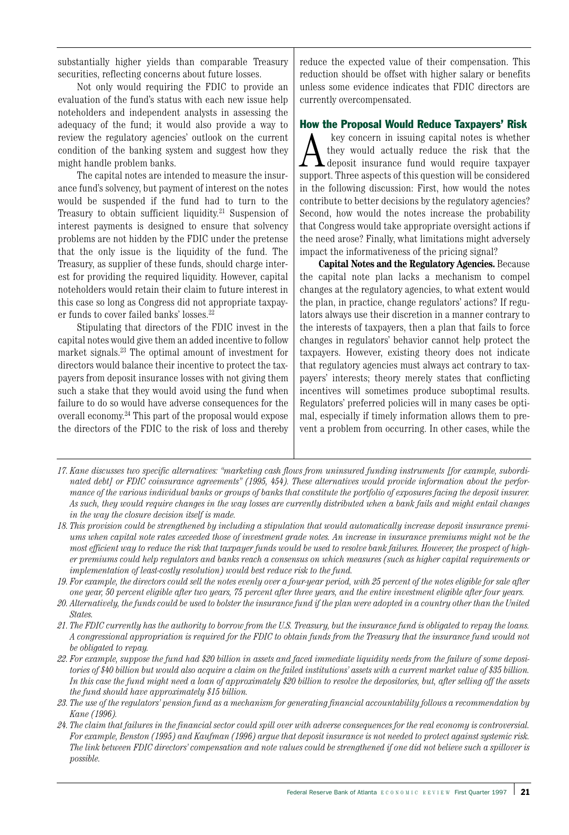substantially higher yields than comparable Treasury securities, reflecting concerns about future losses.

Not only would requiring the FDIC to provide an evaluation of the fund's status with each new issue help noteholders and independent analysts in assessing the adequacy of the fund; it would also provide a way to review the regulatory agencies' outlook on the current condition of the banking system and suggest how they might handle problem banks.

The capital notes are intended to measure the insurance fund's solvency, but payment of interest on the notes would be suspended if the fund had to turn to the Treasury to obtain sufficient liquidity. <sup>21</sup> Suspension of interest payments is designed to ensure that solvency problems are not hidden by the FDIC under the pretense that the only issue is the liquidity of the fund. The Treasury, as supplier of these funds, should charge interest for providing the required liquidity. However, capital noteholders would retain their claim to future interest in this case so long as Congress did not appropriate taxpayer funds to cover failed banks' losses.22

Stipulating that directors of the FDIC invest in the capital notes would give them an added incentive to follow market signals.23 The optimal amount of investment for directors would balance their incentive to protect the taxpayers from deposit insurance losses with not giving them such a stake that they would avoid using the fund when failure to do so would have adverse consequences for the overall economy. <sup>24</sup> This part of the proposal would expose the directors of the FDIC to the risk of loss and thereby

reduce the expected value of their compensation. This reduction should be offset with higher salary or benefits unless some evidence indicates that FDIC directors are currently overcompensated.

#### How the Proposal Would Reduce Taxpayers' Risk

A key concern in issuing capital notes is whether<br>they would actually reduce the risk that the<br>deposit insurance fund would require taxpayer<br>support Three aspects of this question will be considered they would actually reduce the risk that the deposit insurance fund would require taxpayer support. Three aspects of this question will be considered in the following discussion: First, how would the notes contribute to better decisions by the regulatory agencies? Second, how would the notes increase the probability that Congress would take appropriate oversight actions if the need arose? Finally, what limitations might adversely impact the informativeness of the pricing signal?

**Capital Notes and the Regulatory Agencies.** Because the capital note plan lacks a mechanism to compel changes at the regulatory agencies, to what extent would the plan, in practice, change regulators' actions? If regulators always use their discretion in a manner contrary to the interests of taxpayers, then a plan that fails to force changes in regulators' behavior cannot help protect the taxpayers. However, existing theory does not indicate that regulatory agencies must always act contrary to taxpayers' interests; theory merely states that conflicting incentives will sometimes produce suboptimal results. Regulators' preferred policies will in many cases be optimal, especially if timely information allows them to prevent a problem from occurring. In other cases, while the

*20. Alternatively, the funds could be used to bolster the insurance fund if the plan were adopted in a country other than the United States.* 

*21. The FDIC currently has the authority to borrow from the U.S. Treasury, but the insurance fund is obligated to repay the loans. A congressional appropriation is required for the FDIC to obtain funds from the Treasury that the insurance fund would not be obligated to repay.*

- *22. For example, suppose the fund had \$20 billion in assets and faced immediate liquidity needs from the failure of some depositories of \$40 billion but would also acquire a claim on the failed institutions' assets with a current market value of \$35 billion. In this case the fund might need a loan of approximately \$20 billion to resolve the depositories, but, after selling off the assets the fund should have approximately \$15 billion.*
- *23. The use of the regulators' pension fund as a mechanism for generating financial accountability follows a recommendation by Kane (1996).*
- *24. The claim that failures in the financial sector could spill over with adverse consequences for the real economy is controversial. For example, Benston (1995) and Kaufman (1996) argue that deposit insurance is not needed to protect against systemic risk. The link between FDIC directors' compensation and note values could be strengthened if one did not believe such a spillover is possible.*

*<sup>17.</sup> Kane discusses two specific alternatives: "marketing cash flows from uninsured funding instruments [for example, subordinated debt] or FDIC coinsurance agreements" (1995, 454). These alternatives would provide information about the performance of the various individual banks or groups of banks that constitute the portfolio of exposures facing the deposit insurer. As such, they would require changes in the way losses are currently distributed when a bank fails and might entail changes in the way the closure decision itself is made.*

*<sup>18.</sup> This provision could be strengthened by including a stipulation that would automatically increase deposit insurance premiums when capital note rates exceeded those of investment grade notes. An increase in insurance premiums might not be the most efficient way to reduce the risk that taxpayer funds would be used to resolve bank failures. However, the prospect of higher premiums could help regulators and banks reach a consensus on which measures (such as higher capital requirements or implementation of least-costly resolution) would best reduce risk to the fund.*

*<sup>19.</sup> For example, the directors could sell the notes evenly over a four-year period, with 25 percent of the notes eligible for sale after one year, 50 percent eligible after two years, 75 percent after three years, and the entire investment eligible after four years.*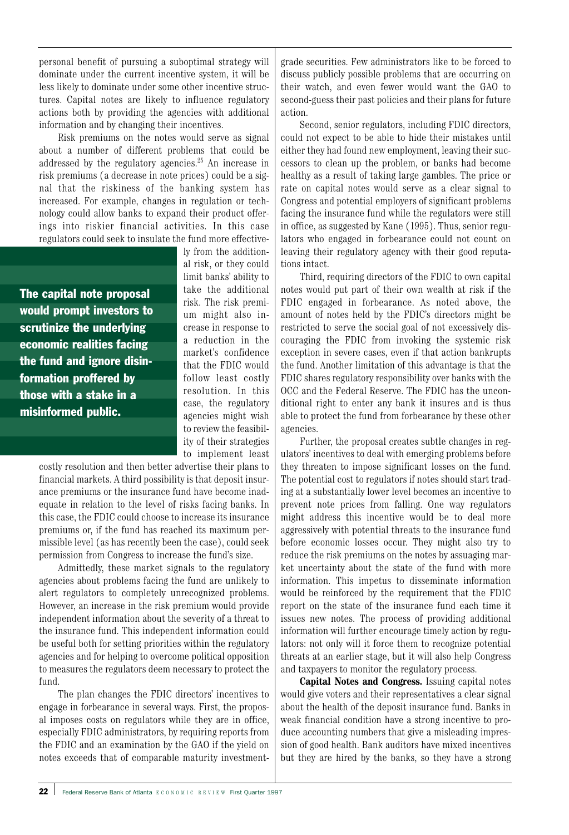personal benefit of pursuing a suboptimal strategy will dominate under the current incentive system, it will be less likely to dominate under some other incentive structures. Capital notes are likely to influence regulatory actions both by providing the agencies with additional information and by changing their incentives.

Risk premiums on the notes would serve as signal about a number of different problems that could be addressed by the regulatory agencies.25 An increase in risk premiums (a decrease in note prices) could be a signal that the riskiness of the banking system has increased. For example, changes in regulation or technology could allow banks to expand their product offerings into riskier financial activities. In this case regulators could seek to insulate the fund more effective-

The capital note proposal would prompt investors to scrutinize the underlying economic realities facing the fund and ignore disinformation proffered by those with a stake in a misinformed public.

ly from the additional risk, or they could limit banks' ability to take the additional risk. The risk premium might also increase in response to a reduction in the market's confidence that the FDIC would follow least costly resolution. In this case, the regulatory agencies might wish to review the feasibility of their strategies to implement least

costly resolution and then better advertise their plans to financial markets. A third possibility is that deposit insurance premiums or the insurance fund have become inadequate in relation to the level of risks facing banks. In this case, the FDIC could choose to increase its insurance premiums or, if the fund has reached its maximum permissible level (as has recently been the case), could seek permission from Congress to increase the fund's size.

Admittedly, these market signals to the regulatory agencies about problems facing the fund are unlikely to alert regulators to completely unrecognized problems. However, an increase in the risk premium would provide independent information about the severity of a threat to the insurance fund. This independent information could be useful both for setting priorities within the regulatory agencies and for helping to overcome political opposition to measures the regulators deem necessary to protect the fund.

The plan changes the FDIC directors' incentives to engage in forbearance in several ways. First, the proposal imposes costs on regulators while they are in office, especially FDIC administrators, by requiring reports from the FDIC and an examination by the GAO if the yield on notes exceeds that of comparable maturity investmentgrade securities. Few administrators like to be forced to discuss publicly possible problems that are occurring on their watch, and even fewer would want the GAO to second-guess their past policies and their plans for future action.

Second, senior regulators, including FDIC directors, could not expect to be able to hide their mistakes until either they had found new employment, leaving their successors to clean up the problem, or banks had become healthy as a result of taking large gambles. The price or rate on capital notes would serve as a clear signal to Congress and potential employers of significant problems facing the insurance fund while the regulators were still in office, as suggested by Kane (1995). Thus, senior regulators who engaged in forbearance could not count on leaving their regulatory agency with their good reputations intact.

Third, requiring directors of the FDIC to own capital notes would put part of their own wealth at risk if the FDIC engaged in forbearance. As noted above, the amount of notes held by the FDIC's directors might be restricted to serve the social goal of not excessively discouraging the FDIC from invoking the systemic risk exception in severe cases, even if that action bankrupts the fund. Another limitation of this advantage is that the FDIC shares regulatory responsibility over banks with the OCC and the Federal Reserve. The FDIC has the unconditional right to enter any bank it insures and is thus able to protect the fund from forbearance by these other agencies.

Further, the proposal creates subtle changes in regulators' incentives to deal with emerging problems before they threaten to impose significant losses on the fund. The potential cost to regulators if notes should start trading at a substantially lower level becomes an incentive to prevent note prices from falling. One way regulators might address this incentive would be to deal more aggressively with potential threats to the insurance fund before economic losses occur. They might also try to reduce the risk premiums on the notes by assuaging market uncertainty about the state of the fund with more information. This impetus to disseminate information would be reinforced by the requirement that the FDIC report on the state of the insurance fund each time it issues new notes. The process of providing additional information will further encourage timely action by regulators: not only will it force them to recognize potential threats at an earlier stage, but it will also help Congress and taxpayers to monitor the regulatory process.

**Capital Notes and Congress.** Issuing capital notes would give voters and their representatives a clear signal about the health of the deposit insurance fund. Banks in weak financial condition have a strong incentive to produce accounting numbers that give a misleading impression of good health. Bank auditors have mixed incentives but they are hired by the banks, so they have a strong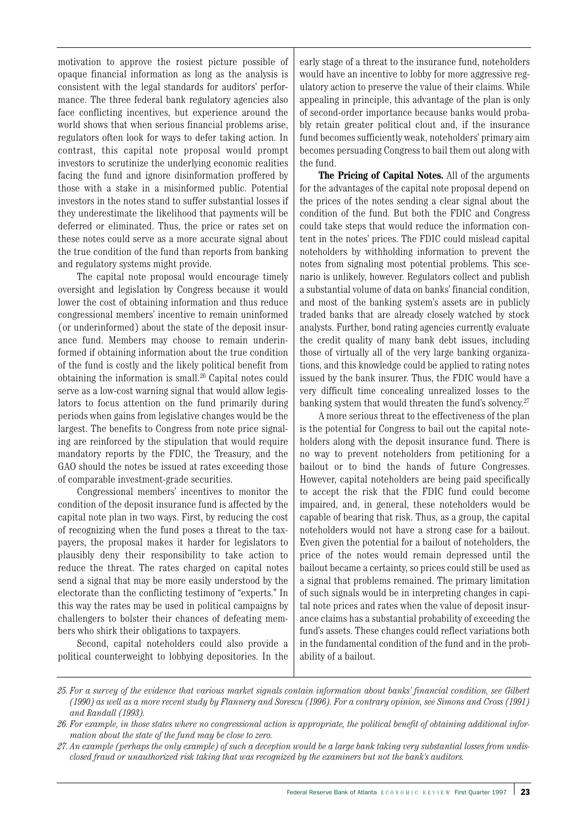motivation to approve the rosiest picture possible of opaque financial information as long as the analysis is consistent with the legal standards for auditors' performance. The three federal bank regulatory agencies also face conflicting incentives, but experience around the world shows that when serious financial problems arise, regulators often look for ways to defer taking action. In contrast, this capital note proposal would prompt investors to scrutinize the underlying economic realities facing the fund and ignore disinformation proffered by those with a stake in a misinformed public. Potential investors in the notes stand to suffer substantial losses if they underestimate the likelihood that payments will be deferred or eliminated. Thus, the price or rates set on these notes could serve as a more accurate signal about the true condition of the fund than reports from banking and regulatory systems might provide.

The capital note proposal would encourage timely oversight and legislation by Congress because it would lower the cost of obtaining information and thus reduce congressional members' incentive to remain uninformed (or underinformed) about the state of the deposit insurance fund. Members may choose to remain underinformed if obtaining information about the true condition of the fund is costly and the likely political benefit from obtaining the information is small.<sup>26</sup> Capital notes could serve as a low-cost warning signal that would allow legislators to focus attention on the fund primarily during periods when gains from legislative changes would be the largest. The benefits to Congress from note price signaling are reinforced by the stipulation that would require mandatory reports by the FDIC, the Treasury, and the GAO should the notes be issued at rates exceeding those of comparable investment-grade securities.

Congressional members' incentives to monitor the condition of the deposit insurance fund is affected by the capital note plan in two ways. First, by reducing the cost of recognizing when the fund poses a threat to the taxpayers, the proposal makes it harder for legislators to plausibly deny their responsibility to take action to reduce the threat. The rates charged on capital notes send a signal that may be more easily understood by the electorate than the conflicting testimony of "experts." In this way the rates may be used in political campaigns by challengers to bolster their chances of defeating members who shirk their obligations to taxpayers.

Second, capital noteholders could also provide a political counterweight to lobbying depositories. In the early stage of a threat to the insurance fund, noteholders would have an incentive to lobby for more aggressive regulatory action to preserve the value of their claims. While appealing in principle, this advantage of the plan is only of second-order importance because banks would probably retain greater political clout and, if the insurance fund becomes sufficiently weak, noteholders' primary aim becomes persuading Congress to bail them out along with the fund.

**The Pricing of Capital Notes.** All of the arguments for the advantages of the capital note proposal depend on the prices of the notes sending a clear signal about the condition of the fund. But both the FDIC and Congress could take steps that would reduce the information content in the notes' prices. The FDIC could mislead capital noteholders by withholding information to prevent the notes from signaling most potential problems. This scenario is unlikely, however. Regulators collect and publish a substantial volume of data on banks' financial condition, and most of the banking system's assets are in publicly traded banks that are already closely watched by stock analysts. Further, bond rating agencies currently evaluate the credit quality of many bank debt issues, including those of virtually all of the very large banking organizations, and this knowledge could be applied to rating notes issued by the bank insurer. Thus, the FDIC would have a very difficult time concealing unrealized losses to the banking system that would threaten the fund's solvency.<sup>27</sup>

A more serious threat to the effectiveness of the plan is the potential for Congress to bail out the capital noteholders along with the deposit insurance fund. There is no way to prevent noteholders from petitioning for a bailout or to bind the hands of future Congresses. However, capital noteholders are being paid specifically to accept the risk that the FDIC fund could become impaired, and, in general, these noteholders would be capable of bearing that risk. Thus, as a group, the capital noteholders would not have a strong case for a bailout. Even given the potential for a bailout of noteholders, the price of the notes would remain depressed until the bailout became a certainty, so prices could still be used as a signal that problems remained. The primary limitation of such signals would be in interpreting changes in capital note prices and rates when the value of deposit insurance claims has a substantial probability of exceeding the fund's assets. These changes could reflect variations both in the fundamental condition of the fund and in the probability of a bailout.

*<sup>25.</sup> For a survey of the evidence that various market signals contain information about banks' financial condition, see Gilbert (1990) as well as a more recent study by Flannery and Sorescu (1996). For a contrary opinion, see Simons and Cross (1991) and Randall (1993).*

*<sup>26.</sup> For example, in those states where no congressional action is appropriate, the political benefit of obtaining additional information about the state of the fund may be close to zero.*

*<sup>27.</sup> An example (perhaps the only example) of such a deception would be a large bank taking very substantial losses from undisclosed fraud or unauthorized risk taking that was recognized by the examiners but not the bank's auditors.*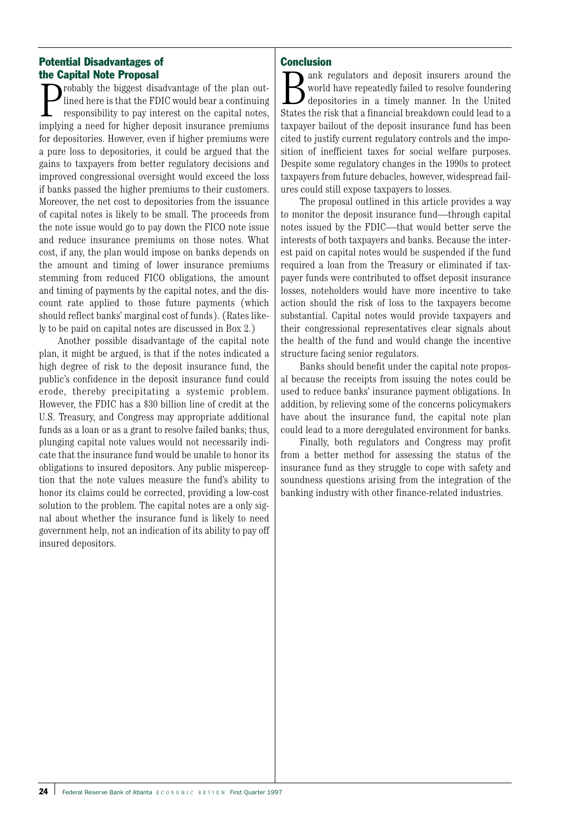# Potential Disadvantages of the Capital Note Proposal

**P**robably the biggest disadvantage of the plan out-<br>lined here is that the FDIC would bear a continuing<br>responsibility to pay interest on the capital notes,<br>implying a need for higher deposit insurance premiums robably the biggest disadvantage of the plan outlined here is that the FDIC would bear a continuing responsibility to pay interest on the capital notes, for depositories. However, even if higher premiums were a pure loss to depositories, it could be argued that the gains to taxpayers from better regulatory decisions and improved congressional oversight would exceed the loss if banks passed the higher premiums to their customers. Moreover, the net cost to depositories from the issuance of capital notes is likely to be small. The proceeds from the note issue would go to pay down the FICO note issue and reduce insurance premiums on those notes. What cost, if any, the plan would impose on banks depends on the amount and timing of lower insurance premiums stemming from reduced FICO obligations, the amount and timing of payments by the capital notes, and the discount rate applied to those future payments (which should reflect banks' marginal cost of funds). (Rates likely to be paid on capital notes are discussed in Box 2.)

Another possible disadvantage of the capital note plan, it might be argued, is that if the notes indicated a high degree of risk to the deposit insurance fund, the public's confidence in the deposit insurance fund could erode, thereby precipitating a systemic problem. However, the FDIC has a \$30 billion line of credit at the U.S. Treasury, and Congress may appropriate additional funds as a loan or as a grant to resolve failed banks; thus, plunging capital note values would not necessarily indicate that the insurance fund would be unable to honor its obligations to insured depositors. Any public misperception that the note values measure the fund's ability to honor its claims could be corrected, providing a low-cost solution to the problem. The capital notes are a only signal about whether the insurance fund is likely to need government help, not an indication of its ability to pay off insured depositors.

# **Conclusion**

ank regulators and deposit insurers around the world have repeatedly failed to resolve foundering depositories in a timely manner. In the United States the risk that a financial breakdown could lead to a taxpayer bailout of the deposit insurance fund has been cited to justify current regulatory controls and the imposition of inefficient taxes for social welfare purposes. Despite some regulatory changes in the 1990s to protect taxpayers from future debacles, however, widespread failures could still expose taxpayers to losses.

The proposal outlined in this article provides a way to monitor the deposit insurance fund—through capital notes issued by the FDIC—that would better serve the interests of both taxpayers and banks. Because the interest paid on capital notes would be suspended if the fund required a loan from the Treasury or eliminated if taxpayer funds were contributed to offset deposit insurance losses, noteholders would have more incentive to take action should the risk of loss to the taxpayers become substantial. Capital notes would provide taxpayers and their congressional representatives clear signals about the health of the fund and would change the incentive structure facing senior regulators.

Banks should benefit under the capital note proposal because the receipts from issuing the notes could be used to reduce banks' insurance payment obligations. In addition, by relieving some of the concerns policymakers have about the insurance fund, the capital note plan could lead to a more deregulated environment for banks.

Finally, both regulators and Congress may profit from a better method for assessing the status of the insurance fund as they struggle to cope with safety and soundness questions arising from the integration of the banking industry with other finance-related industries.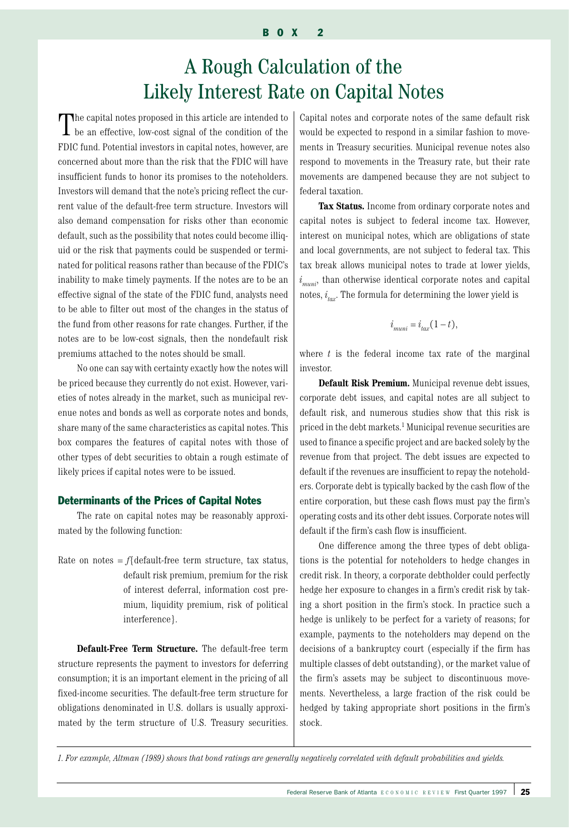# A Rough Calculation of the Likely Interest Rate on Capital Notes

The capital notes proposed in this article are intended to be an effective, low-cost signal of the condition of the FDIC fund. Potential investors in capital notes, however, are concerned about more than the risk that the FDIC will have insufficient funds to honor its promises to the noteholders. Investors will demand that the note's pricing reflect the current value of the default-free term structure. Investors will also demand compensation for risks other than economic default, such as the possibility that notes could become illiquid or the risk that payments could be suspended or terminated for political reasons rather than because of the FDIC's inability to make timely payments. If the notes are to be an effective signal of the state of the FDIC fund, analysts need to be able to filter out most of the changes in the status of the fund from other reasons for rate changes. Further, if the notes are to be low-cost signals, then the nondefault risk premiums attached to the notes should be small.

No one can say with certainty exactly how the notes will be priced because they currently do not exist. However, varieties of notes already in the market, such as municipal revenue notes and bonds as well as corporate notes and bonds, share many of the same characteristics as capital notes. This box compares the features of capital notes with those of other types of debt securities to obtain a rough estimate of likely prices if capital notes were to be issued.

#### Determinants of the Prices of Capital Notes

The rate on capital notes may be reasonably approximated by the following function:

Rate on notes  $=f$ {default-free term structure, tax status, default risk premium, premium for the risk of interest deferral, information cost premium, liquidity premium, risk of political interference}.

**Default-Free Term Structure.** The default-free term structure represents the payment to investors for deferring consumption; it is an important element in the pricing of all fixed-income securities. The default-free term structure for obligations denominated in U.S. dollars is usually approximated by the term structure of U.S. Treasury securities.

Capital notes and corporate notes of the same default risk would be expected to respond in a similar fashion to movements in Treasury securities. Municipal revenue notes also respond to movements in the Treasury rate, but their rate movements are dampened because they are not subject to federal taxation.

**Tax Status.** Income from ordinary corporate notes and capital notes is subject to federal income tax. However, interest on municipal notes, which are obligations of state and local governments, are not subject to federal tax. This tax break allows municipal notes to trade at lower yields,  $i_{\it muni}^{}$ , than otherwise identical corporate notes and capital notes, *i tax*. The formula for determining the lower yield is

$$
i_{muni} = i_{tax}(1-t),
$$

where *t* is the federal income tax rate of the marginal investor.

**Default Risk Premium.** Municipal revenue debt issues, corporate debt issues, and capital notes are all subject to default risk, and numerous studies show that this risk is priced in the debt markets.1 Municipal revenue securities are used to finance a specific project and are backed solely by the revenue from that project. The debt issues are expected to default if the revenues are insufficient to repay the noteholders. Corporate debt is typically backed by the cash flow of the entire corporation, but these cash flows must pay the firm's operating costs and its other debt issues. Corporate notes will default if the firm's cash flow is insufficient.

One difference among the three types of debt obligations is the potential for noteholders to hedge changes in credit risk. In theory, a corporate debtholder could perfectly hedge her exposure to changes in a firm's credit risk by taking a short position in the firm's stock. In practice such a hedge is unlikely to be perfect for a variety of reasons; for example, payments to the noteholders may depend on the decisions of a bankruptcy court (especially if the firm has multiple classes of debt outstanding), or the market value of the firm's assets may be subject to discontinuous movements. Nevertheless, a large fraction of the risk could be hedged by taking appropriate short positions in the firm's stock.

*1. For example, Altman (1989) shows that bond ratings are generally negatively correlated with default probabilities and yields.*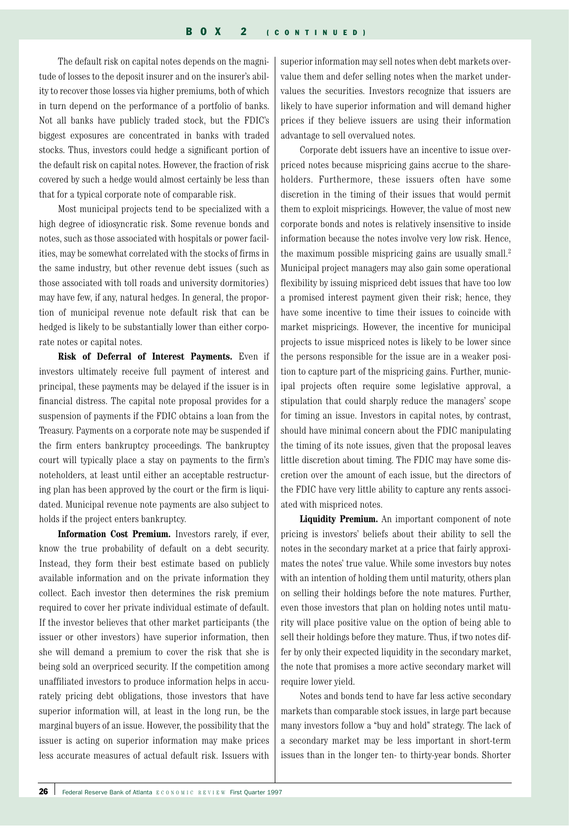The default risk on capital notes depends on the magnitude of losses to the deposit insurer and on the insurer's ability to recover those losses via higher premiums, both of which in turn depend on the performance of a portfolio of banks. Not all banks have publicly traded stock, but the FDIC's biggest exposures are concentrated in banks with traded stocks. Thus, investors could hedge a significant portion of the default risk on capital notes. However, the fraction of risk covered by such a hedge would almost certainly be less than that for a typical corporate note of comparable risk.

Most municipal projects tend to be specialized with a high degree of idiosyncratic risk. Some revenue bonds and notes, such as those associated with hospitals or power facilities, may be somewhat correlated with the stocks of firms in the same industry, but other revenue debt issues (such as those associated with toll roads and university dormitories) may have few, if any, natural hedges. In general, the proportion of municipal revenue note default risk that can be hedged is likely to be substantially lower than either corporate notes or capital notes.

**Risk of Deferral of Interest Payments.** Even if investors ultimately receive full payment of interest and principal, these payments may be delayed if the issuer is in financial distress. The capital note proposal provides for a suspension of payments if the FDIC obtains a loan from the Treasury. Payments on a corporate note may be suspended if the firm enters bankruptcy proceedings. The bankruptcy court will typically place a stay on payments to the firm's noteholders, at least until either an acceptable restructuring plan has been approved by the court or the firm is liquidated. Municipal revenue note payments are also subject to holds if the project enters bankruptcy.

**Information Cost Premium.** Investors rarely, if ever, know the true probability of default on a debt security. Instead, they form their best estimate based on publicly available information and on the private information they collect. Each investor then determines the risk premium required to cover her private individual estimate of default. If the investor believes that other market participants (the issuer or other investors) have superior information, then she will demand a premium to cover the risk that she is being sold an overpriced security. If the competition among unaffiliated investors to produce information helps in accurately pricing debt obligations, those investors that have superior information will, at least in the long run, be the marginal buyers of an issue. However, the possibility that the issuer is acting on superior information may make prices less accurate measures of actual default risk. Issuers with

superior information may sell notes when debt markets overvalue them and defer selling notes when the market undervalues the securities. Investors recognize that issuers are likely to have superior information and will demand higher prices if they believe issuers are using their information advantage to sell overvalued notes.

Corporate debt issuers have an incentive to issue overpriced notes because mispricing gains accrue to the shareholders. Furthermore, these issuers often have some discretion in the timing of their issues that would permit them to exploit mispricings. However, the value of most new corporate bonds and notes is relatively insensitive to inside information because the notes involve very low risk. Hence, the maximum possible mispricing gains are usually small.<sup>2</sup> Municipal project managers may also gain some operational flexibility by issuing mispriced debt issues that have too low a promised interest payment given their risk; hence, they have some incentive to time their issues to coincide with market mispricings. However, the incentive for municipal projects to issue mispriced notes is likely to be lower since the persons responsible for the issue are in a weaker position to capture part of the mispricing gains. Further, municipal projects often require some legislative approval, a stipulation that could sharply reduce the managers' scope for timing an issue. Investors in capital notes, by contrast, should have minimal concern about the FDIC manipulating the timing of its note issues, given that the proposal leaves little discretion about timing. The FDIC may have some discretion over the amount of each issue, but the directors of the FDIC have very little ability to capture any rents associated with mispriced notes.

**Liquidity Premium.** An important component of note pricing is investors' beliefs about their ability to sell the notes in the secondary market at a price that fairly approximates the notes' true value. While some investors buy notes with an intention of holding them until maturity, others plan on selling their holdings before the note matures. Further, even those investors that plan on holding notes until maturity will place positive value on the option of being able to sell their holdings before they mature. Thus, if two notes differ by only their expected liquidity in the secondary market, the note that promises a more active secondary market will require lower yield.

Notes and bonds tend to have far less active secondary markets than comparable stock issues, in large part because many investors follow a "buy and hold" strategy. The lack of a secondary market may be less important in short-term issues than in the longer ten- to thirty-year bonds. Shorter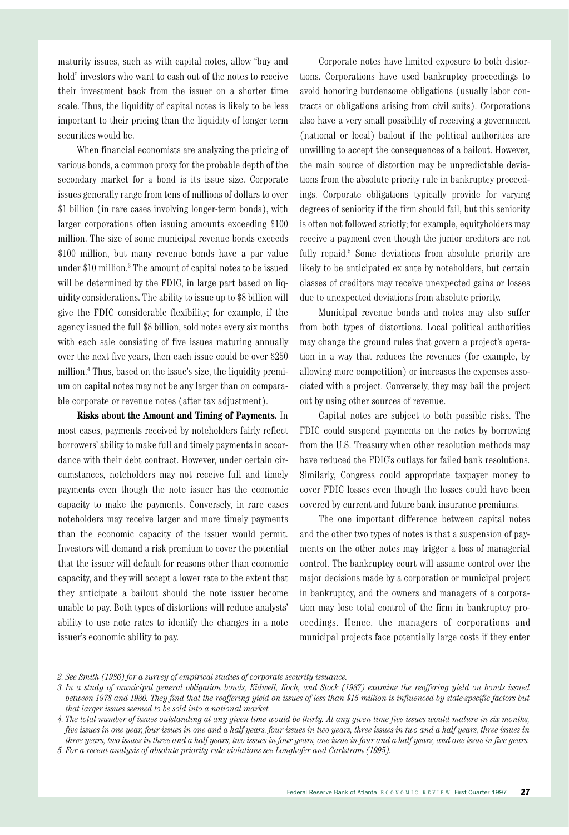maturity issues, such as with capital notes, allow "buy and hold" investors who want to cash out of the notes to receive their investment back from the issuer on a shorter time scale. Thus, the liquidity of capital notes is likely to be less important to their pricing than the liquidity of longer term securities would be.

When financial economists are analyzing the pricing of various bonds, a common proxy for the probable depth of the secondary market for a bond is its issue size. Corporate issues generally range from tens of millions of dollars to over \$1 billion (in rare cases involving longer-term bonds), with larger corporations often issuing amounts exceeding \$100 million. The size of some municipal revenue bonds exceeds \$100 million, but many revenue bonds have a par value under \$10 million.3 The amount of capital notes to be issued will be determined by the FDIC, in large part based on liquidity considerations. The ability to issue up to \$8 billion will give the FDIC considerable flexibility; for example, if the agency issued the full \$8 billion, sold notes every six months with each sale consisting of five issues maturing annually over the next five years, then each issue could be over \$250 million.4 Thus, based on the issue's size, the liquidity premium on capital notes may not be any larger than on comparable corporate or revenue notes (after tax adjustment).

**Risks about the Amount and Timing of Payments.** In most cases, payments received by noteholders fairly reflect borrowers' ability to make full and timely payments in accordance with their debt contract. However, under certain circumstances, noteholders may not receive full and timely payments even though the note issuer has the economic capacity to make the payments. Conversely, in rare cases noteholders may receive larger and more timely payments than the economic capacity of the issuer would permit. Investors will demand a risk premium to cover the potential that the issuer will default for reasons other than economic capacity, and they will accept a lower rate to the extent that they anticipate a bailout should the note issuer become unable to pay. Both types of distortions will reduce analysts' ability to use note rates to identify the changes in a note issuer's economic ability to pay.

Corporate notes have limited exposure to both distortions. Corporations have used bankruptcy proceedings to avoid honoring burdensome obligations (usually labor contracts or obligations arising from civil suits). Corporations also have a very small possibility of receiving a government (national or local) bailout if the political authorities are unwilling to accept the consequences of a bailout. However, the main source of distortion may be unpredictable deviations from the absolute priority rule in bankruptcy proceedings. Corporate obligations typically provide for varying degrees of seniority if the firm should fail, but this seniority is often not followed strictly; for example, equityholders may receive a payment even though the junior creditors are not fully repaid.<sup>5</sup> Some deviations from absolute priority are likely to be anticipated ex ante by noteholders, but certain classes of creditors may receive unexpected gains or losses due to unexpected deviations from absolute priority.

Municipal revenue bonds and notes may also suffer from both types of distortions. Local political authorities may change the ground rules that govern a project's operation in a way that reduces the revenues (for example, by allowing more competition) or increases the expenses associated with a project. Conversely, they may bail the project out by using other sources of revenue.

Capital notes are subject to both possible risks. The FDIC could suspend payments on the notes by borrowing from the U.S. Treasury when other resolution methods may have reduced the FDIC's outlays for failed bank resolutions. Similarly, Congress could appropriate taxpayer money to cover FDIC losses even though the losses could have been covered by current and future bank insurance premiums.

The one important difference between capital notes and the other two types of notes is that a suspension of payments on the other notes may trigger a loss of managerial control. The bankruptcy court will assume control over the major decisions made by a corporation or municipal project in bankruptcy, and the owners and managers of a corporation may lose total control of the firm in bankruptcy proceedings. Hence, the managers of corporations and municipal projects face potentially large costs if they enter

*<sup>2.</sup> See Smith (1986) for a survey of empirical studies of corporate security issuance.*

*<sup>3.</sup> In a study of municipal general obligation bonds, Kidwell, Koch, and Stock (1987) examine the reoffering yield on bonds issued between 1978 and 1980. They find that the reoffering yield on issues of less than \$15 million is influenced by state-specific factors but that larger issues seemed to be sold into a national market.*

*<sup>4.</sup> The total number of issues outstanding at any given time would be thirty. At any given time five issues would mature in six months, five issues in one year, four issues in one and a half years, four issues in two years, three issues in two and a half years, three issues in three years, two issues in three and a half years, two issues in four years, one issue in four and a half years, and one issue in five years. 5. For a recent analysis of absolute priority rule violations see Longhofer and Carlstrom (1995).*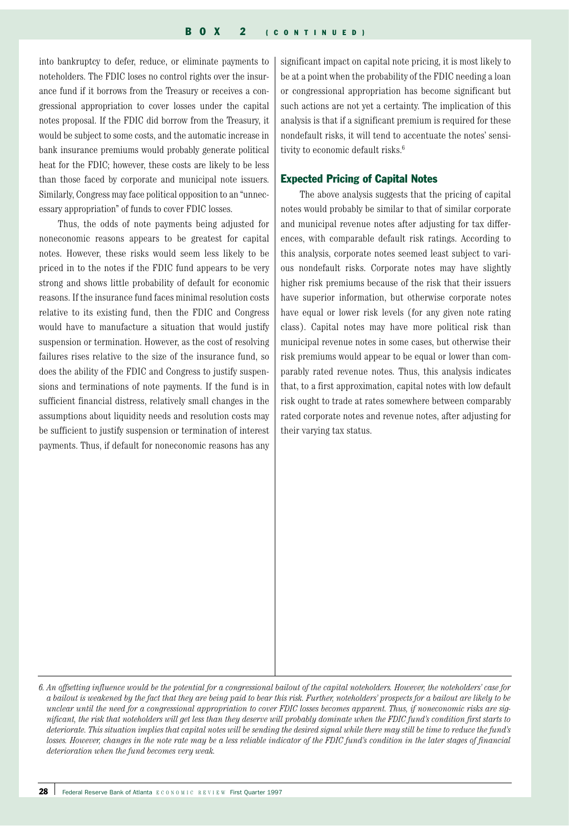into bankruptcy to defer, reduce, or eliminate payments to noteholders. The FDIC loses no control rights over the insurance fund if it borrows from the Treasury or receives a congressional appropriation to cover losses under the capital notes proposal. If the FDIC did borrow from the Treasury, it would be subject to some costs, and the automatic increase in bank insurance premiums would probably generate political heat for the FDIC; however, these costs are likely to be less than those faced by corporate and municipal note issuers. Similarly, Congress may face political opposition to an "unnecessary appropriation" of funds to cover FDIC losses.

Thus, the odds of note payments being adjusted for noneconomic reasons appears to be greatest for capital notes. However, these risks would seem less likely to be priced in to the notes if the FDIC fund appears to be very strong and shows little probability of default for economic reasons. If the insurance fund faces minimal resolution costs relative to its existing fund, then the FDIC and Congress would have to manufacture a situation that would justify suspension or termination. However, as the cost of resolving failures rises relative to the size of the insurance fund, so does the ability of the FDIC and Congress to justify suspensions and terminations of note payments. If the fund is in sufficient financial distress, relatively small changes in the assumptions about liquidity needs and resolution costs may be sufficient to justify suspension or termination of interest payments. Thus, if default for noneconomic reasons has any

significant impact on capital note pricing, it is most likely to be at a point when the probability of the FDIC needing a loan or congressional appropriation has become significant but such actions are not yet a certainty. The implication of this analysis is that if a significant premium is required for these nondefault risks, it will tend to accentuate the notes' sensitivity to economic default risks.<sup>6</sup>

#### Expected Pricing of Capital Notes

The above analysis suggests that the pricing of capital notes would probably be similar to that of similar corporate and municipal revenue notes after adjusting for tax differences, with comparable default risk ratings. According to this analysis, corporate notes seemed least subject to various nondefault risks. Corporate notes may have slightly higher risk premiums because of the risk that their issuers have superior information, but otherwise corporate notes have equal or lower risk levels (for any given note rating class). Capital notes may have more political risk than municipal revenue notes in some cases, but otherwise their risk premiums would appear to be equal or lower than comparably rated revenue notes. Thus, this analysis indicates that, to a first approximation, capital notes with low default risk ought to trade at rates somewhere between comparably rated corporate notes and revenue notes, after adjusting for their varying tax status.

*<sup>6.</sup> An offsetting influence would be the potential for a congressional bailout of the capital noteholders. However, the noteholders' case for a bailout is weakened by the fact that they are being paid to bear this risk. Further, noteholders' prospects for a bailout are likely to be unclear until the need for a congressional appropriation to cover FDIC losses becomes apparent. Thus, if noneconomic risks are significant, the risk that noteholders will get less than they deserve will probably dominate when the FDIC fund's condition first starts to deteriorate. This situation implies that capital notes will be sending the desired signal while there may still be time to reduce the fund's losses. However, changes in the note rate may be a less reliable indicator of the FDIC fund's condition in the later stages of financial deterioration when the fund becomes very weak.*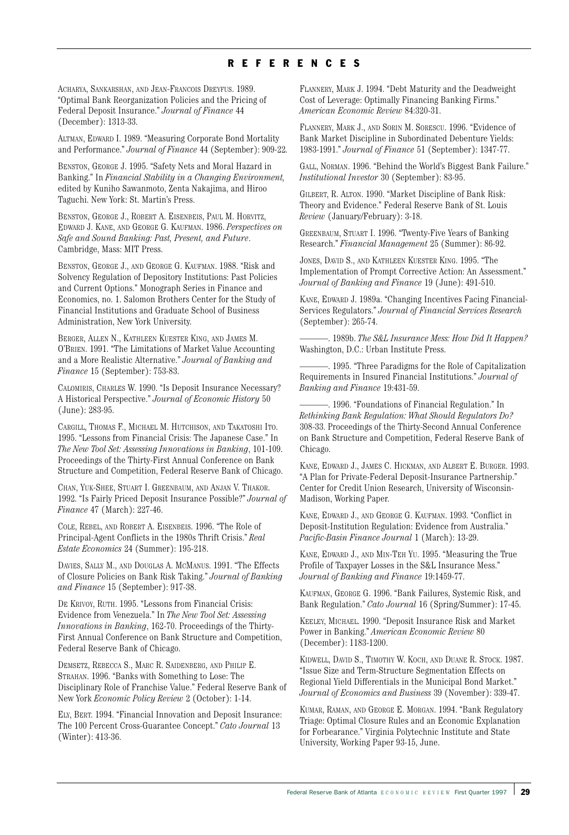# REFERENCES

ACHARYA, SANKARSHAN, AND JEAN-FRANCOIS DREYFUS. 1989. "Optimal Bank Reorganization Policies and the Pricing of Federal Deposit Insurance." *Journal of Finance* 44 (December): 1313-33.

ALTMAN, EDWARD I. 1989. "Measuring Corporate Bond Mortality and Performance." *Journal of Finance* 44 (September): 909-22.

BENSTON, GEORGE J. 1995. "Safety Nets and Moral Hazard in Banking." In *Financial Stability in a Changing Environment,* edited by Kuniho Sawanmoto, Zenta Nakajima, and Hiroo Taguchi. New York: St. Martin's Press.

BENSTON, GEORGE J., ROBERT A. EISENBEIS, PAUL M. HORVITZ, EDWARD J. KANE, AND GEORGE G. KAUFMAN. 1986. *Perspectives on Safe and Sound Banking: Past, Present, and Future*. Cambridge, Mass: MIT Press.

BENSTON, GEORGE J., AND GEORGE G. KAUFMAN. 1988. "Risk and Solvency Regulation of Depository Institutions: Past Policies and Current Options." Monograph Series in Finance and Economics, no. 1. Salomon Brothers Center for the Study of Financial Institutions and Graduate School of Business Administration, New York University.

BERGER, ALLEN N., KATHLEEN KUESTER KING, AND JAMES M. O'BRIEN. 1991. "The Limitations of Market Value Accounting and a More Realistic Alternative." *Journal of Banking and Finance* 15 (September): 753-83.

CALOMIRIS, CHARLES W. 1990. "Is Deposit Insurance Necessary? A Historical Perspective." *Journal of Economic History* 50 (June): 283-95.

CARGILL, THOMAS F., MICHAEL M. HUTCHISON, AND TAKATOSHI ITO. 1995. "Lessons from Financial Crisis: The Japanese Case." In *The New Tool Set: Assessing Innovations in Banking*, 101-109. Proceedings of the Thirty-First Annual Conference on Bank Structure and Competition, Federal Reserve Bank of Chicago.

CHAN, YUK-SHEE, STUART I. GREENBAUM, AND ANJAN V. THAKOR. 1992. "Is Fairly Priced Deposit Insurance Possible?" *Journal of Finance* 47 (March): 227-46.

COLE, REBEL, AND ROBERT A. EISENBEIS. 1996. "The Role of Principal-Agent Conflicts in the 1980s Thrift Crisis." *Real Estate Economics* 24 (Summer): 195-218.

DAVIES, SALLY M., AND DOUGLAS A. MCMANUS. 1991. "The Effects of Closure Policies on Bank Risk Taking." *Journal of Banking and Finance* 15 (September): 917-38.

DE KRIVOY, RUTH. 1995. "Lessons from Financial Crisis: Evidence from Venezuela." In *The New Tool Set: Assessing Innovations in Banking*, 162-70. Proceedings of the Thirty-First Annual Conference on Bank Structure and Competition, Federal Reserve Bank of Chicago.

DEMSETZ, REBECCA S., MARC R. SAIDENBERG, AND PHILIP E. STRAHAN. 1996. "Banks with Something to Lose: The Disciplinary Role of Franchise Value." Federal Reserve Bank of New York *Economic Policy Review* 2 (October): 1-14.

ELY, BERT. 1994. "Financial Innovation and Deposit Insurance: The 100 Percent Cross-Guarantee Concept." *Cato Journal* 13 (Winter): 413-36.

FLANNERY, MARK J. 1994. "Debt Maturity and the Deadweight Cost of Leverage: Optimally Financing Banking Firms." *American Economic Review* 84:320-31.

FLANNERY, MARK J., AND SORIN M. SORESCU. 1996. "Evidence of Bank Market Discipline in Subordinated Debenture Yields: 1983-1991." *Journal of Finance* 51 (September): 1347-77.

GALL, NORMAN. 1996. "Behind the World's Biggest Bank Failure." *Institutional Investor* 30 (September): 83-95.

GILBERT, R. ALTON. 1990. "Market Discipline of Bank Risk: Theory and Evidence." Federal Reserve Bank of St. Louis *Review* (January/February): 3-18.

GREENBAUM, STUART I. 1996. "Twenty-Five Years of Banking Research." *Financial Management* 25 (Summer): 86-92.

JONES, DAVID S., AND KATHLEEN KUESTER KING. 1995. "The Implementation of Prompt Corrective Action: An Assessment." *Journal of Banking and Finance* 19 (June): 491-510.

KANE, EDWARD J. 1989a. "Changing Incentives Facing Financial-Services Regulators." *Journal of Financial Services Research* (September): 265-74.

———. 1989b. *The S&L Insurance Mess: How Did It Happen?* Washington, D.C.: Urban Institute Press.

-. 1995. "Three Paradigms for the Role of Capitalization Requirements in Insured Financial Institutions." *Journal of Banking and Finance* 19:431-59.

———. 1996. "Foundations of Financial Regulation." In *Rethinking Bank Regulation: What Should Regulators Do?* 308-33. Proceedings of the Thirty-Second Annual Conference on Bank Structure and Competition, Federal Reserve Bank of Chicago.

KANE, EDWARD J., JAMES C. HICKMAN, AND ALBERT E. BURGER. 1993. "A Plan for Private-Federal Deposit-Insurance Partnership." Center for Credit Union Research, University of Wisconsin-Madison, Working Paper.

KANE, EDWARD J., AND GEORGE G. KAUFMAN. 1993. "Conflict in Deposit-Institution Regulation: Evidence from Australia." *Pacific-Basin Finance Journal* 1 (March): 13-29.

KANE, EDWARD J., AND MIN-TEH YU. 1995. "Measuring the True Profile of Taxpayer Losses in the S&L Insurance Mess." *Journal of Banking and Finance* 19:1459-77.

KAUFMAN, GEORGE G. 1996. "Bank Failures, Systemic Risk, and Bank Regulation." *Cato Journal* 16 (Spring/Summer): 17-45.

KEELEY, MICHAEL. 1990. "Deposit Insurance Risk and Market Power in Banking." *American Economic Review* 80 (December): 1183-1200.

KIDWELL, DAVID S., TIMOTHY W. KOCH, AND DUANE R. STOCK. 1987. "Issue Size and Term-Structure Segmentation Effects on Regional Yield Differentials in the Municipal Bond Market." *Journal of Economics and Business* 39 (November): 339-47.

KUMAR, RAMAN, AND GEORGE E. MORGAN. 1994. "Bank Regulatory Triage: Optimal Closure Rules and an Economic Explanation for Forbearance." Virginia Polytechnic Institute and State University, Working Paper 93-15, June.